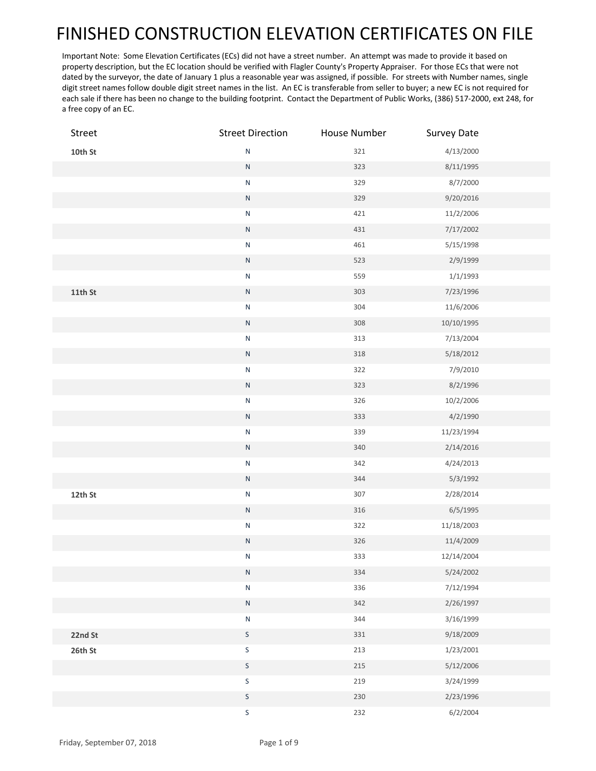## FINISHED CONSTRUCTION ELEVATION CERTIFICATES ON FILE

Important Note: Some Elevation Certificates (ECs) did not have a street number. An attempt was made to provide it based on property description, but the EC location should be verified with Flagler County's Property Appraiser. For those ECs that were not dated by the surveyor, the date of January 1 plus a reasonable year was assigned, if possible. For streets with Number names, single digit street names follow double digit street names in the list. An EC is transferable from seller to buyer; a new EC is not required for each sale if there has been no change to the building footprint. Contact the Department of Public Works, (386) 517-2000, ext 248, for a free copy of an EC.

| Street    | <b>Street Direction</b> | House Number | <b>Survey Date</b> |  |
|-----------|-------------------------|--------------|--------------------|--|
| 10th $St$ | ${\sf N}$               | 321          | 4/13/2000          |  |
|           | ${\sf N}$               | 323          | 8/11/1995          |  |
|           | ${\sf N}$               | 329          | 8/7/2000           |  |
|           | ${\sf N}$               | 329          | 9/20/2016          |  |
|           | ${\sf N}$               | 421          | 11/2/2006          |  |
|           | ${\sf N}$               | 431          | 7/17/2002          |  |
|           | ${\sf N}$               | 461          | 5/15/1998          |  |
|           | ${\sf N}$               | 523          | 2/9/1999           |  |
|           | ${\sf N}$               | 559          | 1/1/1993           |  |
| $11th$ St | ${\sf N}$               | 303          | 7/23/1996          |  |
|           | ${\sf N}$               | 304          | 11/6/2006          |  |
|           | ${\sf N}$               | 308          | 10/10/1995         |  |
|           | ${\sf N}$               | 313          | 7/13/2004          |  |
|           | ${\sf N}$               | $318\,$      | 5/18/2012          |  |
|           | ${\sf N}$               | 322          | 7/9/2010           |  |
|           | ${\sf N}$               | 323          | 8/2/1996           |  |
|           | ${\sf N}$               | 326          | 10/2/2006          |  |
|           | ${\sf N}$               | 333          | 4/2/1990           |  |
|           | ${\sf N}$               | 339          | 11/23/1994         |  |
|           | ${\sf N}$               | 340          | 2/14/2016          |  |
|           | ${\sf N}$               | 342          | 4/24/2013          |  |
|           | ${\sf N}$               | 344          | 5/3/1992           |  |
| 12th St   | ${\sf N}$               | 307          | 2/28/2014          |  |
|           | ${\sf N}$               | $316\,$      | 6/5/1995           |  |
|           | ${\sf N}$               | 322          | 11/18/2003         |  |
|           | ${\sf N}$               | 326          | 11/4/2009          |  |
|           | $\mathsf{N}$            | 333          | 12/14/2004         |  |
|           | ${\sf N}$               | 334          | 5/24/2002          |  |
|           | ${\sf N}$               | 336          | 7/12/1994          |  |
|           | ${\sf N}$               | 342          | 2/26/1997          |  |
|           | ${\sf N}$               | 344          | 3/16/1999          |  |
| 22nd St   | $\mathsf S$             | 331          | 9/18/2009          |  |
| 26th St   | $\sf S$                 | 213          | 1/23/2001          |  |
|           | $\mathsf S$             | 215          | 5/12/2006          |  |
|           | $\sf S$                 | 219          | 3/24/1999          |  |
|           | $\mathsf S$             | 230          | 2/23/1996          |  |
|           | $\sf S$                 | 232          | 6/2/2004           |  |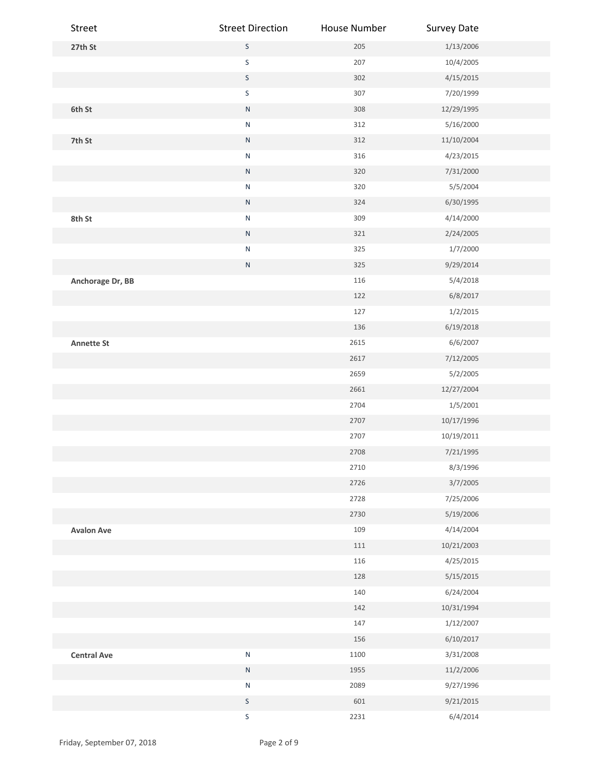| Street             | <b>Street Direction</b> | House Number | <b>Survey Date</b> |  |
|--------------------|-------------------------|--------------|--------------------|--|
| 27th St            | $\mathsf S$             | 205          | 1/13/2006          |  |
|                    | $\sf S$                 | 207          | 10/4/2005          |  |
|                    | $\mathsf S$             | 302          | 4/15/2015          |  |
|                    | $\sf S$                 | 307          | 7/20/1999          |  |
| 6th St             | ${\sf N}$               | 308          | 12/29/1995         |  |
|                    | ${\sf N}$               | 312          | 5/16/2000          |  |
| 7th St             | ${\sf N}$               | 312          | 11/10/2004         |  |
|                    | ${\sf N}$               | 316          | 4/23/2015          |  |
|                    | ${\sf N}$               | 320          | 7/31/2000          |  |
|                    | ${\sf N}$               | 320          | 5/5/2004           |  |
|                    | ${\sf N}$               | 324          | 6/30/1995          |  |
| 8th St             | ${\sf N}$               | 309          | 4/14/2000          |  |
|                    | ${\sf N}$               | 321          | 2/24/2005          |  |
|                    | ${\sf N}$               | 325          | 1/7/2000           |  |
|                    | ${\sf N}$               | 325          | 9/29/2014          |  |
| Anchorage Dr, BB   |                         | 116          | 5/4/2018           |  |
|                    |                         | 122          | 6/8/2017           |  |
|                    |                         | 127          | 1/2/2015           |  |
|                    |                         | 136          | 6/19/2018          |  |
| <b>Annette St</b>  |                         | 2615         | 6/6/2007           |  |
|                    |                         | 2617         | 7/12/2005          |  |
|                    |                         | 2659         | 5/2/2005           |  |
|                    |                         | 2661         | 12/27/2004         |  |
|                    |                         | 2704         | 1/5/2001           |  |
|                    |                         | 2707         | 10/17/1996         |  |
|                    |                         | 2707         | 10/19/2011         |  |
|                    |                         | 2708         | 7/21/1995          |  |
|                    |                         | 2710         | 8/3/1996           |  |
|                    |                         | 2726         | 3/7/2005           |  |
|                    |                         | 2728         | 7/25/2006          |  |
|                    |                         | 2730         | 5/19/2006          |  |
| <b>Avalon Ave</b>  |                         | 109          | 4/14/2004          |  |
|                    |                         | 111          | 10/21/2003         |  |
|                    |                         | 116          | 4/25/2015          |  |
|                    |                         | 128          | 5/15/2015          |  |
|                    |                         | 140          | 6/24/2004          |  |
|                    |                         | 142          | 10/31/1994         |  |
|                    |                         | 147          | 1/12/2007          |  |
|                    |                         | 156          | 6/10/2017          |  |
| <b>Central Ave</b> | ${\sf N}$               | 1100         | 3/31/2008          |  |
|                    | ${\sf N}$               | 1955         | 11/2/2006          |  |
|                    | ${\sf N}$               | 2089         | 9/27/1996          |  |
|                    | $\mathsf S$             | 601          | 9/21/2015          |  |
|                    | $\sf S$                 | 2231         | 6/4/2014           |  |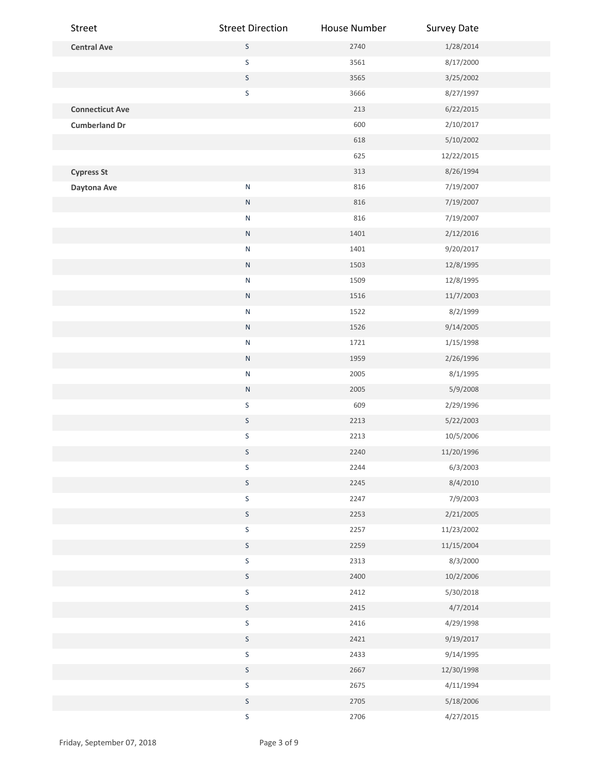| Street                 | <b>Street Direction</b> | House Number | <b>Survey Date</b> |  |
|------------------------|-------------------------|--------------|--------------------|--|
| <b>Central Ave</b>     | $\sf S$                 | 2740         | 1/28/2014          |  |
|                        | $\sf S$                 | 3561         | 8/17/2000          |  |
|                        | $\mathsf S$             | 3565         | 3/25/2002          |  |
|                        | $\sf S$                 | 3666         | 8/27/1997          |  |
| <b>Connecticut Ave</b> |                         | 213          | 6/22/2015          |  |
| <b>Cumberland Dr</b>   |                         | 600          | 2/10/2017          |  |
|                        |                         | 618          | 5/10/2002          |  |
|                        |                         | 625          | 12/22/2015         |  |
| <b>Cypress St</b>      |                         | 313          | 8/26/1994          |  |
| Daytona Ave            | ${\sf N}$               | 816          | 7/19/2007          |  |
|                        | ${\sf N}$               | 816          | 7/19/2007          |  |
|                        | ${\sf N}$               | 816          | 7/19/2007          |  |
|                        | ${\sf N}$               | 1401         | 2/12/2016          |  |
|                        | ${\sf N}$               | 1401         | 9/20/2017          |  |
|                        | ${\sf N}$               | 1503         | 12/8/1995          |  |
|                        | ${\sf N}$               | 1509         | 12/8/1995          |  |
|                        | ${\sf N}$               | 1516         | 11/7/2003          |  |
|                        | ${\sf N}$               | 1522         | 8/2/1999           |  |
|                        | ${\sf N}$               | 1526         | 9/14/2005          |  |
|                        | ${\sf N}$               | 1721         | 1/15/1998          |  |
|                        | ${\sf N}$               | 1959         | 2/26/1996          |  |
|                        | ${\sf N}$               | 2005         | 8/1/1995           |  |
|                        | ${\sf N}$               | 2005         | 5/9/2008           |  |
|                        | $\mathsf S$             | 609          | 2/29/1996          |  |
|                        | $\mathsf S$             | 2213         | 5/22/2003          |  |
|                        | $\sf S$                 | 2213         | 10/5/2006          |  |
|                        | $\mathsf S$             | 2240         | 11/20/1996         |  |
|                        | $\sf S$                 | 2244         | 6/3/2003           |  |
|                        | $\sf S$                 | 2245         | 8/4/2010           |  |
|                        | $\sf S$                 | 2247         | 7/9/2003           |  |
|                        | $\mathsf S$             | 2253         | 2/21/2005          |  |
|                        | $\sf S$                 | 2257         | 11/23/2002         |  |
|                        | $\sf S$                 | 2259         | 11/15/2004         |  |
|                        | $\sf S$                 | 2313         | 8/3/2000           |  |
|                        | $\sf S$                 | 2400         | 10/2/2006          |  |
|                        | $\sf S$                 | 2412         | 5/30/2018          |  |
|                        | $\mathsf S$             | 2415         | 4/7/2014           |  |
|                        | $\sf S$                 | 2416         | 4/29/1998          |  |
|                        | $\mathsf S$             | 2421         | 9/19/2017          |  |
|                        | $\sf S$                 | 2433         | 9/14/1995          |  |
|                        | $\sf S$                 | 2667         | 12/30/1998         |  |
|                        | $\sf S$                 | 2675         | 4/11/1994          |  |
|                        | $\mathsf S$             | 2705         | 5/18/2006          |  |
|                        | $\sf S$                 | 2706         | 4/27/2015          |  |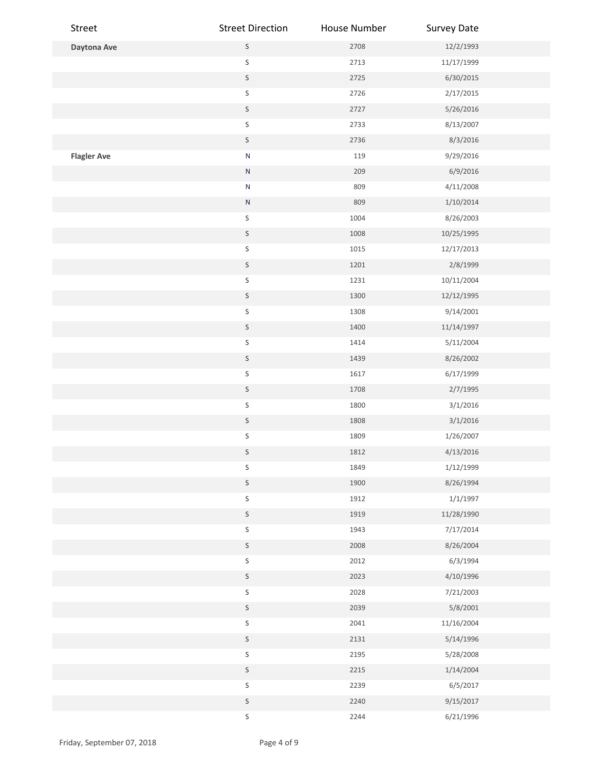| Street             | <b>Street Direction</b> | House Number | <b>Survey Date</b> |  |
|--------------------|-------------------------|--------------|--------------------|--|
| Daytona Ave        | $\mathsf S$             | 2708         | 12/2/1993          |  |
|                    | $\sf S$                 | 2713         | 11/17/1999         |  |
|                    | $\mathsf S$             | 2725         | 6/30/2015          |  |
|                    | $\sf S$                 | 2726         | 2/17/2015          |  |
|                    | $\mathsf S$             | 2727         | 5/26/2016          |  |
|                    | $\sf S$                 | 2733         | 8/13/2007          |  |
|                    | $\mathsf S$             | 2736         | 8/3/2016           |  |
| <b>Flagler Ave</b> | ${\sf N}$               | 119          | 9/29/2016          |  |
|                    | ${\sf N}$               | 209          | 6/9/2016           |  |
|                    | ${\sf N}$               | 809          | 4/11/2008          |  |
|                    | ${\sf N}$               | 809          | 1/10/2014          |  |
|                    | $\sf S$                 | 1004         | 8/26/2003          |  |
|                    | $\mathsf S$             | 1008         | 10/25/1995         |  |
|                    | $\sf S$                 | 1015         | 12/17/2013         |  |
|                    | $\mathsf S$             | 1201         | 2/8/1999           |  |
|                    | $\mathsf S$             | 1231         | 10/11/2004         |  |
|                    | $\mathsf S$             | 1300         | 12/12/1995         |  |
|                    | $\sf S$                 | 1308         | 9/14/2001          |  |
|                    | $\mathsf S$             | 1400         | 11/14/1997         |  |
|                    | $\sf S$                 | 1414         | 5/11/2004          |  |
|                    | $\mathsf S$             | 1439         | 8/26/2002          |  |
|                    | $\mathsf S$             | 1617         | 6/17/1999          |  |
|                    | $\sf S$                 | 1708         | 2/7/1995           |  |
|                    | $\sf S$                 | 1800         | 3/1/2016           |  |
|                    | $\mathsf S$             | 1808         | 3/1/2016           |  |
|                    | $\sf S$                 | 1809         | 1/26/2007          |  |
|                    | $\sf S$                 | 1812         | 4/13/2016          |  |
|                    | $\sf S$                 | 1849         | 1/12/1999          |  |
|                    | $\mathsf S$             | 1900         | 8/26/1994          |  |
|                    | $\sf S$                 | 1912         | 1/1/1997           |  |
|                    | $\mathsf S$             | 1919         | 11/28/1990         |  |
|                    | $\sf S$                 | 1943         | 7/17/2014          |  |
|                    | $\mathsf S$             | 2008         | 8/26/2004          |  |
|                    | $\mathsf S$             | 2012         | 6/3/1994           |  |
|                    | $\mathsf S$             | 2023         | 4/10/1996          |  |
|                    | $\sf S$                 | 2028         | 7/21/2003          |  |
|                    | $\mathsf S$             | 2039         | 5/8/2001           |  |
|                    | $\sf S$                 | 2041         | 11/16/2004         |  |
|                    | $\mathsf S$             | 2131         | 5/14/1996          |  |
|                    | $\mathsf S$             | 2195         | 5/28/2008          |  |
|                    | $\mathsf S$             | 2215         | 1/14/2004          |  |
|                    | $\sf S$                 | 2239         | 6/5/2017           |  |
|                    | $\mathsf S$             | 2240         | 9/15/2017          |  |
|                    | $\mathsf S$             | 2244         | 6/21/1996          |  |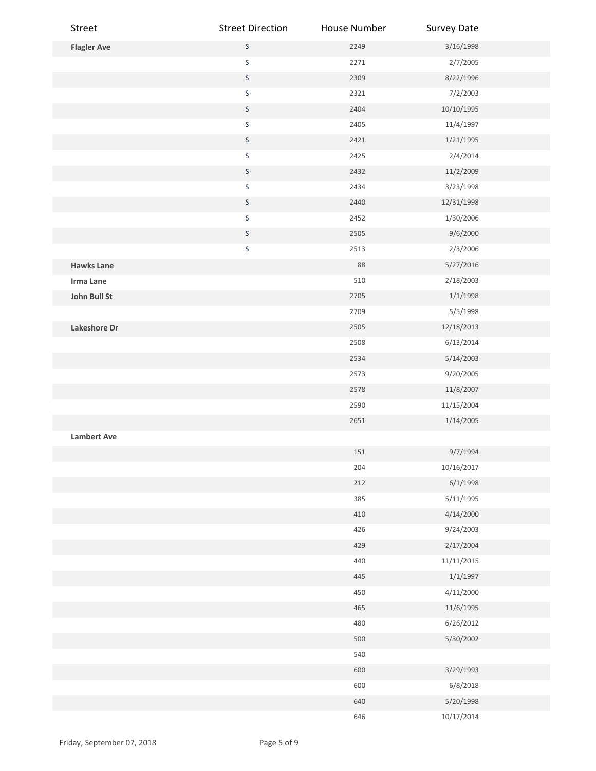| Street             | <b>Street Direction</b> | House Number | <b>Survey Date</b> |  |
|--------------------|-------------------------|--------------|--------------------|--|
| <b>Flagler Ave</b> | $\mathsf S$             | 2249         | 3/16/1998          |  |
|                    | $\sf S$                 | 2271         | 2/7/2005           |  |
|                    | $\mathsf S$             | 2309         | 8/22/1996          |  |
|                    | $\sf S$                 | 2321         | 7/2/2003           |  |
|                    | $\mathsf S$             | 2404         | 10/10/1995         |  |
|                    | $\sf S$                 | 2405         | 11/4/1997          |  |
|                    | $\mathsf S$             | 2421         | 1/21/1995          |  |
|                    | $\sf S$                 | 2425         | 2/4/2014           |  |
|                    | $\sf S$                 | 2432         | 11/2/2009          |  |
|                    | $\sf S$                 | 2434         | 3/23/1998          |  |
|                    | $\mathsf S$             | 2440         | 12/31/1998         |  |
|                    | $\sf S$                 | 2452         | 1/30/2006          |  |
|                    | $\mathsf S$             | 2505         | 9/6/2000           |  |
|                    | $\sf S$                 | 2513         | 2/3/2006           |  |
| <b>Hawks Lane</b>  |                         | 88           | 5/27/2016          |  |
| Irma Lane          |                         | 510          | 2/18/2003          |  |
| John Bull St       |                         | 2705         | 1/1/1998           |  |
|                    |                         | 2709         | 5/5/1998           |  |
| Lakeshore Dr       |                         | 2505         | 12/18/2013         |  |
|                    |                         | 2508         | 6/13/2014          |  |
|                    |                         | 2534         | 5/14/2003          |  |
|                    |                         | 2573         | 9/20/2005          |  |
|                    |                         | 2578         | 11/8/2007          |  |
|                    |                         | 2590         | 11/15/2004         |  |
|                    |                         | 2651         | 1/14/2005          |  |
| <b>Lambert Ave</b> |                         |              |                    |  |
|                    |                         | 151          | 9/7/1994           |  |
|                    |                         | 204          | 10/16/2017         |  |
|                    |                         | 212          | 6/1/1998           |  |
|                    |                         | 385          | 5/11/1995          |  |
|                    |                         | 410          | 4/14/2000          |  |
|                    |                         | 426          | 9/24/2003          |  |
|                    |                         | 429          | 2/17/2004          |  |
|                    |                         | 440          | 11/11/2015         |  |
|                    |                         | 445          | 1/1/1997           |  |
|                    |                         | 450          | 4/11/2000          |  |
|                    |                         | 465          | 11/6/1995          |  |
|                    |                         | 480          | 6/26/2012          |  |
|                    |                         | 500          | 5/30/2002          |  |
|                    |                         | 540          |                    |  |
|                    |                         | 600          | 3/29/1993          |  |
|                    |                         | 600          | 6/8/2018           |  |
|                    |                         | 640          | 5/20/1998          |  |
|                    |                         | 646          | 10/17/2014         |  |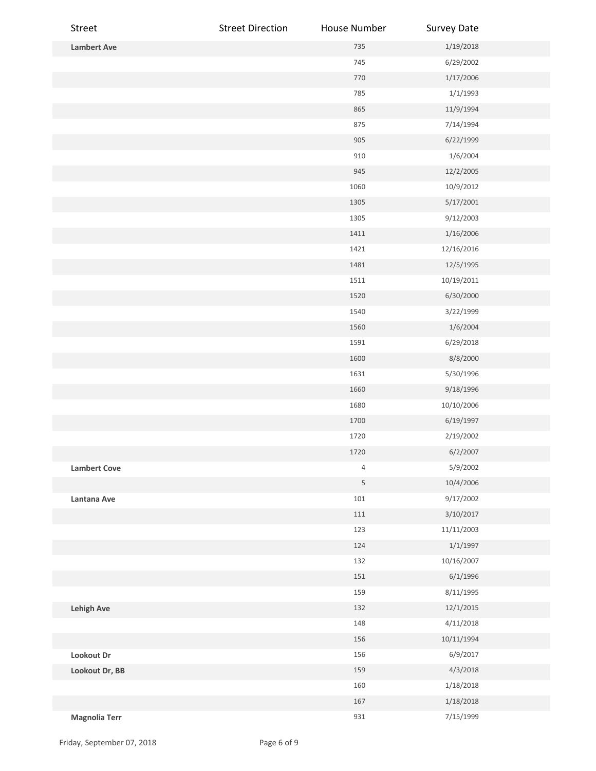| Street               | <b>Street Direction</b> | House Number | <b>Survey Date</b> |  |
|----------------------|-------------------------|--------------|--------------------|--|
| <b>Lambert Ave</b>   |                         | 735          | 1/19/2018          |  |
|                      |                         | 745          | 6/29/2002          |  |
|                      |                         | 770          | 1/17/2006          |  |
|                      |                         | 785          | 1/1/1993           |  |
|                      |                         | 865          | 11/9/1994          |  |
|                      |                         | 875          | 7/14/1994          |  |
|                      |                         | 905          | 6/22/1999          |  |
|                      |                         | 910          | 1/6/2004           |  |
|                      |                         | 945          | 12/2/2005          |  |
|                      |                         | 1060         | 10/9/2012          |  |
|                      |                         | 1305         | 5/17/2001          |  |
|                      |                         | 1305         | 9/12/2003          |  |
|                      |                         | 1411         | 1/16/2006          |  |
|                      |                         | 1421         | 12/16/2016         |  |
|                      |                         | 1481         | 12/5/1995          |  |
|                      |                         | 1511         | 10/19/2011         |  |
|                      |                         | 1520         | 6/30/2000          |  |
|                      |                         | 1540         | 3/22/1999          |  |
|                      |                         | 1560         | 1/6/2004           |  |
|                      |                         | 1591         | 6/29/2018          |  |
|                      |                         | 1600         | 8/8/2000           |  |
|                      |                         | 1631         | 5/30/1996          |  |
|                      |                         | 1660         | 9/18/1996          |  |
|                      |                         | 1680         | 10/10/2006         |  |
|                      |                         | 1700         | 6/19/1997          |  |
|                      |                         | 1720         | 2/19/2002          |  |
|                      |                         | 1720         | 6/2/2007           |  |
| <b>Lambert Cove</b>  |                         | $\sqrt{4}$   | 5/9/2002           |  |
|                      |                         | $\mathsf S$  | 10/4/2006          |  |
| Lantana Ave          |                         | $101\,$      | 9/17/2002          |  |
|                      |                         | 111          | 3/10/2017          |  |
|                      |                         | 123          | 11/11/2003         |  |
|                      |                         | 124          | 1/1/1997           |  |
|                      |                         | 132          | 10/16/2007         |  |
|                      |                         | 151          | 6/1/1996           |  |
|                      |                         | 159          | 8/11/1995          |  |
| <b>Lehigh Ave</b>    |                         | 132          | 12/1/2015          |  |
|                      |                         | 148          | 4/11/2018          |  |
|                      |                         | 156          | 10/11/1994         |  |
| Lookout Dr           |                         | 156          | 6/9/2017           |  |
| Lookout Dr, BB       |                         | 159          | 4/3/2018           |  |
|                      |                         | 160          | 1/18/2018          |  |
|                      |                         | 167          | 1/18/2018          |  |
| <b>Magnolia Terr</b> |                         | 931          | 7/15/1999          |  |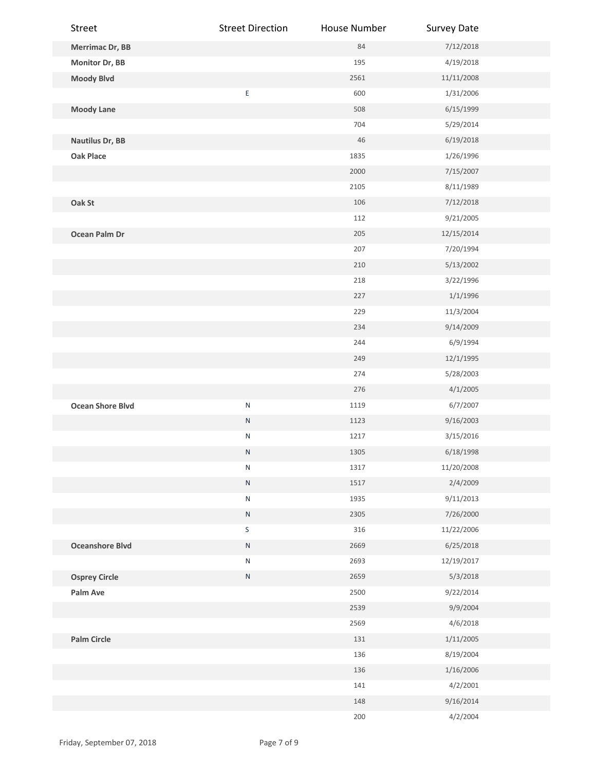| Street                  | <b>Street Direction</b> | House Number | <b>Survey Date</b> |  |
|-------------------------|-------------------------|--------------|--------------------|--|
| Merrimac Dr, BB         |                         | 84           | 7/12/2018          |  |
| Monitor Dr, BB          |                         | 195          | 4/19/2018          |  |
| <b>Moody Blvd</b>       |                         | 2561         | 11/11/2008         |  |
|                         | E                       | 600          | 1/31/2006          |  |
| <b>Moody Lane</b>       |                         | 508          | 6/15/1999          |  |
|                         |                         | 704          | 5/29/2014          |  |
| <b>Nautilus Dr, BB</b>  |                         | $46\,$       | 6/19/2018          |  |
| <b>Oak Place</b>        |                         | 1835         | 1/26/1996          |  |
|                         |                         | 2000         | 7/15/2007          |  |
|                         |                         | 2105         | 8/11/1989          |  |
| Oak St                  |                         | 106          | 7/12/2018          |  |
|                         |                         | 112          | 9/21/2005          |  |
| Ocean Palm Dr           |                         | 205          | 12/15/2014         |  |
|                         |                         | 207          | 7/20/1994          |  |
|                         |                         | 210          | 5/13/2002          |  |
|                         |                         | 218          | 3/22/1996          |  |
|                         |                         | 227          | 1/1/1996           |  |
|                         |                         | 229          | 11/3/2004          |  |
|                         |                         | 234          | 9/14/2009          |  |
|                         |                         | 244          | 6/9/1994           |  |
|                         |                         | 249          | 12/1/1995          |  |
|                         |                         | 274          | 5/28/2003          |  |
|                         |                         | 276          | 4/1/2005           |  |
| <b>Ocean Shore Blvd</b> | ${\sf N}$               | 1119         | 6/7/2007           |  |
|                         | ${\sf N}$               | 1123         | 9/16/2003          |  |
|                         | ${\sf N}$               | 1217         | 3/15/2016          |  |
|                         | Ν                       | 1305         | 6/18/1998          |  |
|                         | ${\sf N}$               | 1317         | 11/20/2008         |  |
|                         | ${\sf N}$               | 1517         | 2/4/2009           |  |
|                         | ${\sf N}$               | 1935         | 9/11/2013          |  |
|                         | ${\sf N}$               | 2305         | 7/26/2000          |  |
|                         | $\mathsf S$             | 316          | 11/22/2006         |  |
| <b>Oceanshore Blvd</b>  | ${\sf N}$               | 2669         | 6/25/2018          |  |
|                         | ${\sf N}$               | 2693         | 12/19/2017         |  |
| <b>Osprey Circle</b>    | ${\sf N}$               | 2659         | 5/3/2018           |  |
| Palm Ave                |                         | 2500         | 9/22/2014          |  |
|                         |                         | 2539         | 9/9/2004           |  |
|                         |                         | 2569         | 4/6/2018           |  |
| <b>Palm Circle</b>      |                         | 131          | 1/11/2005          |  |
|                         |                         | 136          | 8/19/2004          |  |
|                         |                         | 136          | 1/16/2006          |  |
|                         |                         | 141          | 4/2/2001           |  |
|                         |                         | 148          | 9/16/2014          |  |
|                         |                         | 200          | 4/2/2004           |  |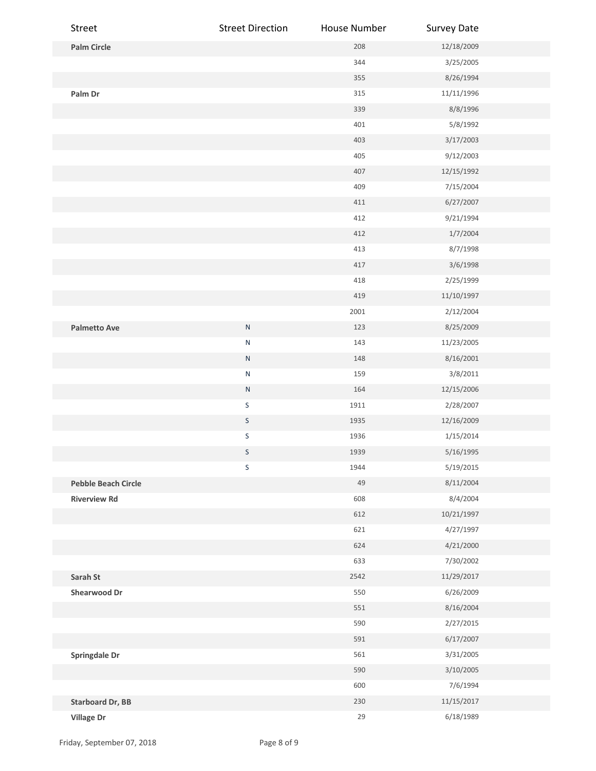| Street                     | <b>Street Direction</b> | House Number | <b>Survey Date</b> |  |
|----------------------------|-------------------------|--------------|--------------------|--|
| <b>Palm Circle</b>         |                         | 208          | 12/18/2009         |  |
|                            |                         | 344          | 3/25/2005          |  |
|                            |                         | 355          | 8/26/1994          |  |
| Palm Dr                    |                         | 315          | 11/11/1996         |  |
|                            |                         | 339          | 8/8/1996           |  |
|                            |                         | 401          | 5/8/1992           |  |
|                            |                         | 403          | 3/17/2003          |  |
|                            |                         | 405          | 9/12/2003          |  |
|                            |                         | 407          | 12/15/1992         |  |
|                            |                         | 409          | 7/15/2004          |  |
|                            |                         | 411          | 6/27/2007          |  |
|                            |                         | 412          | 9/21/1994          |  |
|                            |                         | 412          | 1/7/2004           |  |
|                            |                         | 413          | 8/7/1998           |  |
|                            |                         | 417          | 3/6/1998           |  |
|                            |                         | 418          | 2/25/1999          |  |
|                            |                         | 419          | 11/10/1997         |  |
|                            |                         | 2001         | 2/12/2004          |  |
| <b>Palmetto Ave</b>        | ${\sf N}$               | 123          | 8/25/2009          |  |
|                            | ${\sf N}$               | 143          | 11/23/2005         |  |
|                            | ${\sf N}$               | 148          | 8/16/2001          |  |
|                            | ${\sf N}$               | 159          | 3/8/2011           |  |
|                            | ${\sf N}$               | 164          | 12/15/2006         |  |
|                            | $\sf S$                 | 1911         | 2/28/2007          |  |
|                            | $\sf S$                 | 1935         | 12/16/2009         |  |
|                            | $\sf S$                 | 1936         | 1/15/2014          |  |
|                            | S                       | 1939         | 5/16/1995          |  |
|                            | S                       | 1944         | 5/19/2015          |  |
| <b>Pebble Beach Circle</b> |                         | 49           | 8/11/2004          |  |
| <b>Riverview Rd</b>        |                         | 608          | 8/4/2004           |  |
|                            |                         | 612          | 10/21/1997         |  |
|                            |                         | 621          | 4/27/1997          |  |
|                            |                         | 624          | 4/21/2000          |  |
|                            |                         | 633          | 7/30/2002          |  |
| Sarah St                   |                         | 2542         | 11/29/2017         |  |
| <b>Shearwood Dr</b>        |                         | 550          | 6/26/2009          |  |
|                            |                         | 551          | 8/16/2004          |  |
|                            |                         | 590          | 2/27/2015          |  |
|                            |                         | 591          | 6/17/2007          |  |
| <b>Springdale Dr</b>       |                         | 561          | 3/31/2005          |  |
|                            |                         | 590          | 3/10/2005          |  |
|                            |                         | 600          | 7/6/1994           |  |
| <b>Starboard Dr, BB</b>    |                         | 230          | 11/15/2017         |  |
| Village Dr                 |                         | 29           | 6/18/1989          |  |